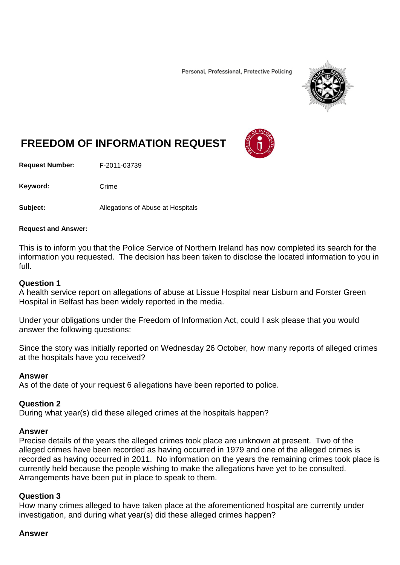Personal, Professional, Protective Policing



# **FREEDOM OF INFORMATION REQUEST**

**Request Number:** F-2011-03739

Keyword: Crime

**Subject:** Allegations of Abuse at Hospitals

#### **Request and Answer:**

This is to inform you that the Police Service of Northern Ireland has now completed its search for the information you requested. The decision has been taken to disclose the located information to you in full.

## **Question 1**

A health service report on allegations of abuse at Lissue Hospital near Lisburn and Forster Green Hospital in Belfast has been widely reported in the media.

Under your obligations under the Freedom of Information Act, could I ask please that you would answer the following questions:

Since the story was initially reported on Wednesday 26 October, how many reports of alleged crimes at the hospitals have you received?

### **Answer**

As of the date of your request 6 allegations have been reported to police.

### **Question 2**

During what year(s) did these alleged crimes at the hospitals happen?

### **Answer**

Precise details of the years the alleged crimes took place are unknown at present. Two of the alleged crimes have been recorded as having occurred in 1979 and one of the alleged crimes is recorded as having occurred in 2011. No information on the years the remaining crimes took place is currently held because the people wishing to make the allegations have yet to be consulted. Arrangements have been put in place to speak to them.

### **Question 3**

How many crimes alleged to have taken place at the aforementioned hospital are currently under investigation, and during what year(s) did these alleged crimes happen?

### **Answer**